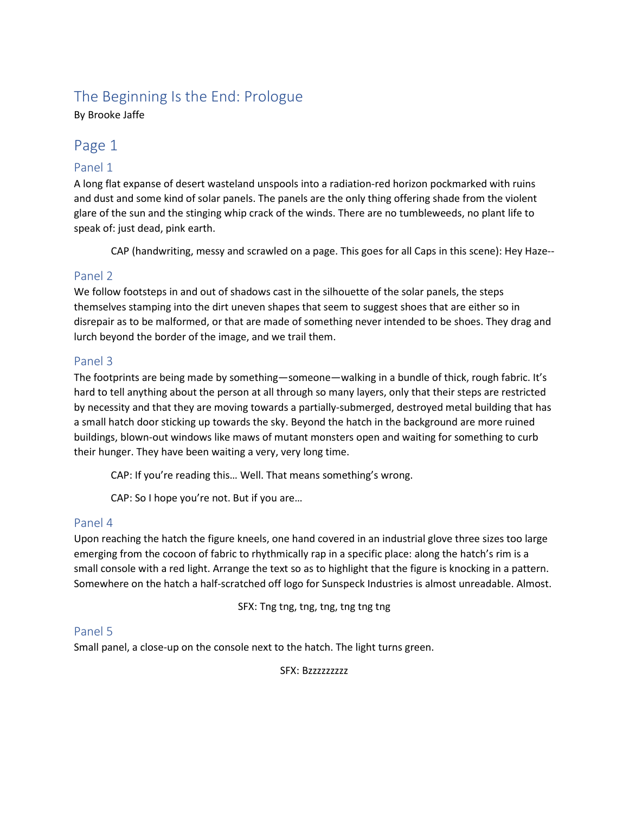# The Beginning Is the End: Prologue

By Brooke Jaffe

# Page 1

## Panel 1

A long flat expanse of desert wasteland unspools into a radiation-red horizon pockmarked with ruins and dust and some kind of solar panels. The panels are the only thing offering shade from the violent glare of the sun and the stinging whip crack of the winds. There are no tumbleweeds, no plant life to speak of: just dead, pink earth.

CAP (handwriting, messy and scrawled on a page. This goes for all Caps in this scene): Hey Haze--

### Panel 2

We follow footsteps in and out of shadows cast in the silhouette of the solar panels, the steps themselves stamping into the dirt uneven shapes that seem to suggest shoes that are either so in disrepair as to be malformed, or that are made of something never intended to be shoes. They drag and lurch beyond the border of the image, and we trail them.

### Panel 3

The footprints are being made by something—someone—walking in a bundle of thick, rough fabric. It's hard to tell anything about the person at all through so many layers, only that their steps are restricted by necessity and that they are moving towards a partially-submerged, destroyed metal building that has a small hatch door sticking up towards the sky. Beyond the hatch in the background are more ruined buildings, blown-out windows like maws of mutant monsters open and waiting for something to curb their hunger. They have been waiting a very, very long time.

CAP: If you're reading this… Well. That means something's wrong.

CAP: So I hope you're not. But if you are…

### Panel 4

Upon reaching the hatch the figure kneels, one hand covered in an industrial glove three sizes too large emerging from the cocoon of fabric to rhythmically rap in a specific place: along the hatch's rim is a small console with a red light. Arrange the text so as to highlight that the figure is knocking in a pattern. Somewhere on the hatch a half-scratched off logo for Sunspeck Industries is almost unreadable. Almost.

SFX: Tng tng, tng, tng, tng tng tng

#### Panel 5

Small panel, a close-up on the console next to the hatch. The light turns green.

SFX: Bzzzzzzzzz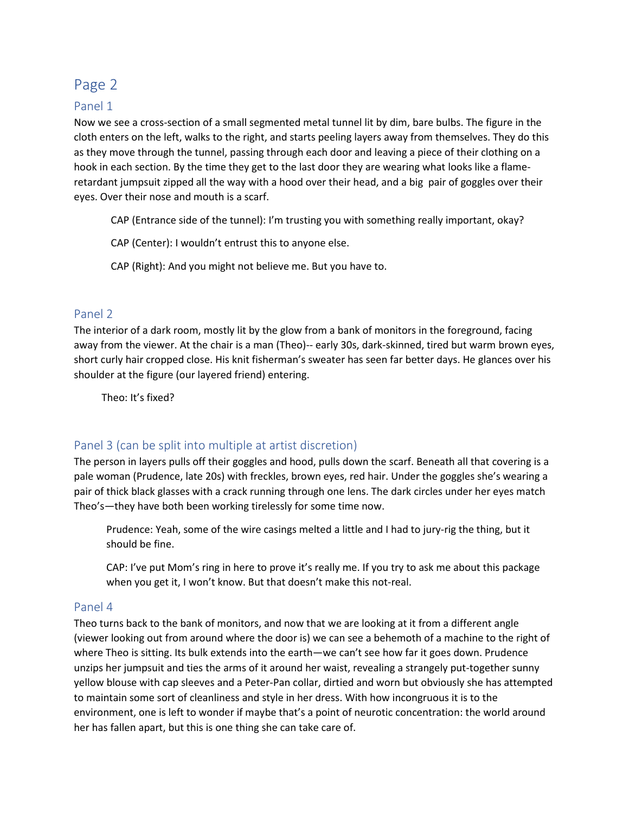# Page 2

#### Panel 1

Now we see a cross-section of a small segmented metal tunnel lit by dim, bare bulbs. The figure in the cloth enters on the left, walks to the right, and starts peeling layers away from themselves. They do this as they move through the tunnel, passing through each door and leaving a piece of their clothing on a hook in each section. By the time they get to the last door they are wearing what looks like a flameretardant jumpsuit zipped all the way with a hood over their head, and a big pair of goggles over their eyes. Over their nose and mouth is a scarf.

CAP (Entrance side of the tunnel): I'm trusting you with something really important, okay?

CAP (Center): I wouldn't entrust this to anyone else.

CAP (Right): And you might not believe me. But you have to.

#### Panel 2

The interior of a dark room, mostly lit by the glow from a bank of monitors in the foreground, facing away from the viewer. At the chair is a man (Theo)-- early 30s, dark-skinned, tired but warm brown eyes, short curly hair cropped close. His knit fisherman's sweater has seen far better days. He glances over his shoulder at the figure (our layered friend) entering.

Theo: It's fixed?

### Panel 3 (can be split into multiple at artist discretion)

The person in layers pulls off their goggles and hood, pulls down the scarf. Beneath all that covering is a pale woman (Prudence, late 20s) with freckles, brown eyes, red hair. Under the goggles she's wearing a pair of thick black glasses with a crack running through one lens. The dark circles under her eyes match Theo's—they have both been working tirelessly for some time now.

Prudence: Yeah, some of the wire casings melted a little and I had to jury-rig the thing, but it should be fine.

CAP: I've put Mom's ring in here to prove it's really me. If you try to ask me about this package when you get it, I won't know. But that doesn't make this not-real.

#### Panel 4

Theo turns back to the bank of monitors, and now that we are looking at it from a different angle (viewer looking out from around where the door is) we can see a behemoth of a machine to the right of where Theo is sitting. Its bulk extends into the earth—we can't see how far it goes down. Prudence unzips her jumpsuit and ties the arms of it around her waist, revealing a strangely put-together sunny yellow blouse with cap sleeves and a Peter-Pan collar, dirtied and worn but obviously she has attempted to maintain some sort of cleanliness and style in her dress. With how incongruous it is to the environment, one is left to wonder if maybe that's a point of neurotic concentration: the world around her has fallen apart, but this is one thing she can take care of.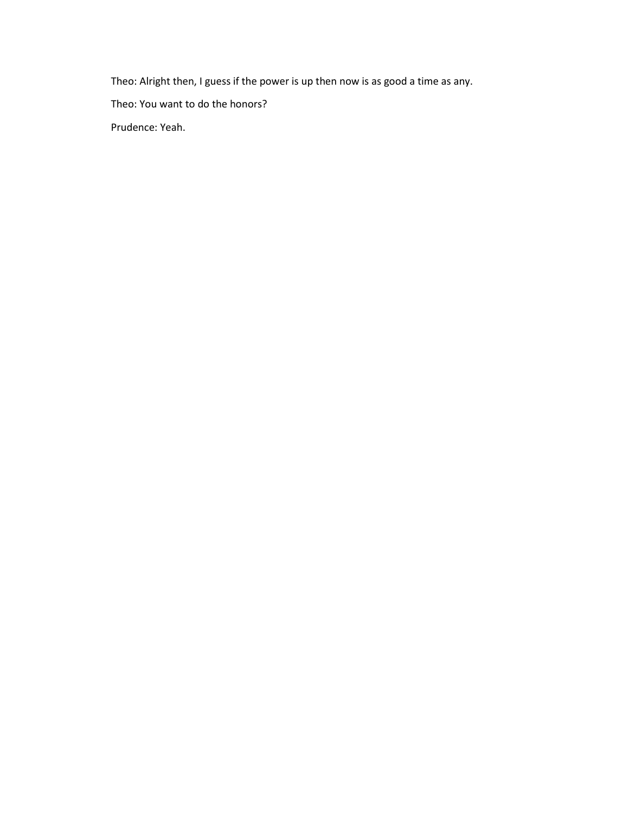Theo: Alright then, I guess if the power is up then now is as good a time as any.

Theo: You want to do the honors?

Prudence: Yeah.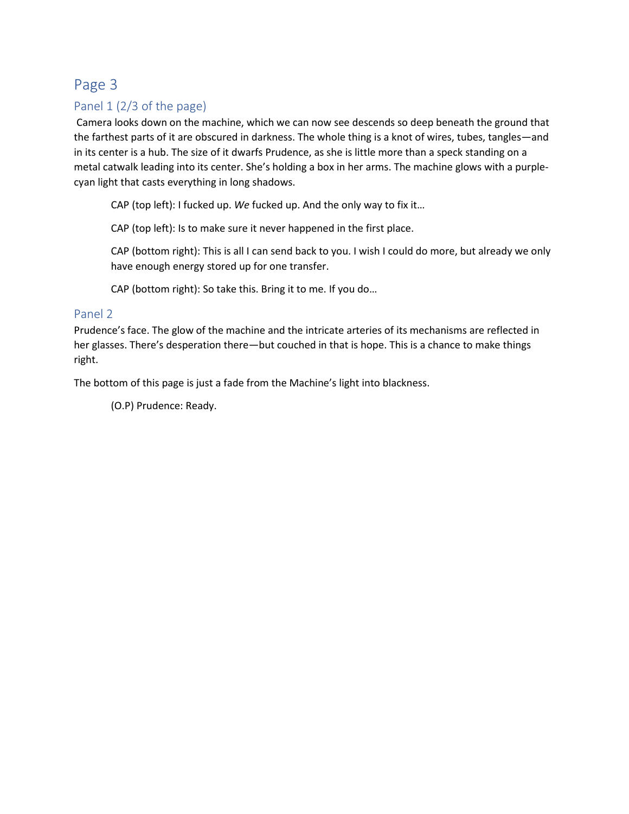# Page 3

# Panel 1 (2/3 of the page)

Camera looks down on the machine, which we can now see descends so deep beneath the ground that the farthest parts of it are obscured in darkness. The whole thing is a knot of wires, tubes, tangles—and in its center is a hub. The size of it dwarfs Prudence, as she is little more than a speck standing on a metal catwalk leading into its center. She's holding a box in her arms. The machine glows with a purplecyan light that casts everything in long shadows.

CAP (top left): I fucked up. *We* fucked up. And the only way to fix it…

CAP (top left): Is to make sure it never happened in the first place.

CAP (bottom right): This is all I can send back to you. I wish I could do more, but already we only have enough energy stored up for one transfer.

CAP (bottom right): So take this. Bring it to me. If you do…

#### Panel 2

Prudence's face. The glow of the machine and the intricate arteries of its mechanisms are reflected in her glasses. There's desperation there—but couched in that is hope. This is a chance to make things right.

The bottom of this page is just a fade from the Machine's light into blackness.

(O.P) Prudence: Ready.